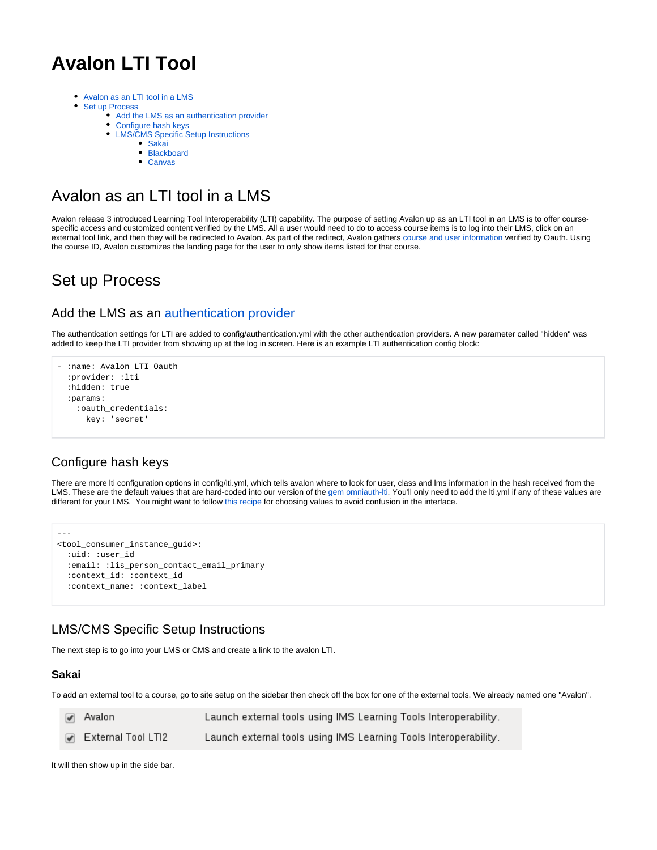# **Avalon LTI Tool**

- [Avalon as an LTI tool in a LMS](#page-0-0)  $\bullet$ 
	- [Set up Process](#page-0-1)
		- [Add the LMS as an authentication provider](#page-0-2)
		- [Configure hash keys](#page-0-3)
		- [LMS/CMS Specific Setup Instructions](#page-0-4)
			- [Sakai](#page-0-5)
			- [Blackboard](#page-1-0) [Canvas](#page-1-1)
			-

## <span id="page-0-0"></span>Avalon as an LTI tool in a LMS

Avalon release 3 introduced Learning Tool Interoperability (LTI) capability. The purpose of setting Avalon up as an LTI tool in an LMS is to offer coursespecific access and customized content verified by the LMS. All a user would need to do to access course items is to log into their LMS, click on an external tool link, and then they will be redirected to Avalon. As part of the redirect, Avalon gathers [course and user information](https://wiki.dlib.indiana.edu/pages/viewpage.action?pageId=531699019#AvalonLTITool-lti.yml) verified by Oauth. Using the course ID, Avalon customizes the landing page for the user to only show items listed for that course.

## <span id="page-0-1"></span>Set up Process

## <span id="page-0-2"></span>Add the LMS as an [authentication provider](https://wiki.dlib.indiana.edu/display/VarVideo/Configuration+Files#ConfigurationFiles-config%2Fauthentication.yml)

The authentication settings for LTI are added to config/authentication.yml with the other authentication providers. A new parameter called "hidden" was added to keep the LTI provider from showing up at the log in screen. Here is an example LTI authentication config block:

```
- :name: Avalon LTI Oauth
   :provider: :lti
   :hidden: true
   :params:
     :oauth_credentials:
       key: 'secret'
```
## <span id="page-0-3"></span>Configure hash keys

There are more lti configuration options in config/lti.yml, which tells avalon where to look for user, class and lms information in the hash received from the LMS. These are the default values that are hard-coded into our version of the [gem omniauth-lti.](https://github.com/avalonmediasystem/omniauth-lti/blob/master/lib/omniauth/strategies/lti.rb#L31) You'll only need to add the lti.yml if any of these values are different for your LMS. You might want to follow [this recipe](https://wiki.dlib.indiana.edu/pages/viewpage.action?pageId=520421816) for choosing values to avoid confusion in the interface.

```
---
<tool_consumer_instance_guid>:
   :uid: :user_id
   :email: :lis_person_contact_email_primary
  :context_id: :context_id
  :context_name: :context_label
```
## <span id="page-0-4"></span>LMS/CMS Specific Setup Instructions

The next step is to go into your LMS or CMS and create a link to the avalon LTI.

#### <span id="page-0-5"></span>**Sakai**

To add an external tool to a course, go to site setup on the sidebar then check off the box for one of the external tools. We already named one "Avalon".

| $\blacktriangleright$ Avalon | Launch external tools using IMS Learning Tools Interoperability. |  |
|------------------------------|------------------------------------------------------------------|--|
| ✔ External Tool LTI2         | Launch external tools using IMS Learning Tools Interoperability. |  |

It will then show up in the side bar.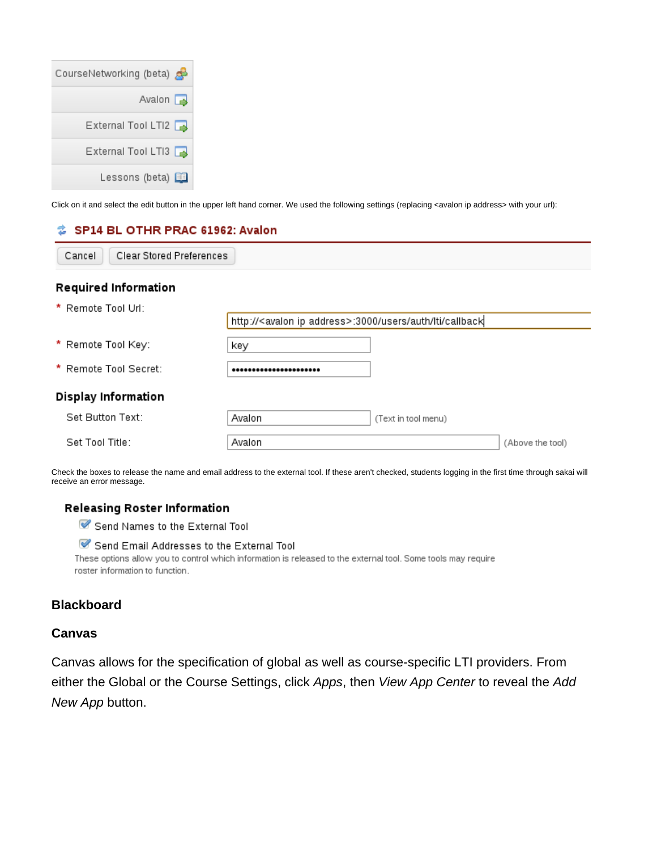| CourseNetworking (beta) |
|-------------------------|
| Avalon $\sqrt{2}$       |
| External Tool LTI2      |
| External Tool LTI3      |
| Lessons (beta) 国        |

Click on it and select the edit button in the upper left hand corner. We used the following settings (replacing <avalon ip address> with your url):

## SP14 BL OTHR PRAC 61962: Avalon

| * Remote Tool Url:    |                                                                         |                     |                  |  |  |  |  |  |  |
|-----------------------|-------------------------------------------------------------------------|---------------------|------------------|--|--|--|--|--|--|
|                       | http:// <avalon address="" ip="">:3000/users/auth/lti/callback</avalon> |                     |                  |  |  |  |  |  |  |
| * Remote Tool Key:    | key                                                                     |                     |                  |  |  |  |  |  |  |
| * Remote Tool Secret: |                                                                         |                     |                  |  |  |  |  |  |  |
| Display Information   |                                                                         |                     |                  |  |  |  |  |  |  |
| Set Button Text:      | Avalon                                                                  | (Text in tool menu) |                  |  |  |  |  |  |  |
| Set Tool Title:       | Avalon                                                                  |                     | (Above the tool) |  |  |  |  |  |  |

Check the boxes to release the name and email address to the external tool. If these aren't checked, students logging in the first time through sakai will receive an error message.

## Releasing Roster Information

Send Names to the External Tool

## Send Email Addresses to the External Tool

These options allow you to control which information is released to the external tool. Some tools may require roster information to function.

## <span id="page-1-0"></span>**Blackboard**

## <span id="page-1-1"></span>**Canvas**

Canvas allows for the specification of global as well as course-specific LTI providers. From either the Global or the Course Settings, click Apps, then View App Center to reveal the Add New App button.